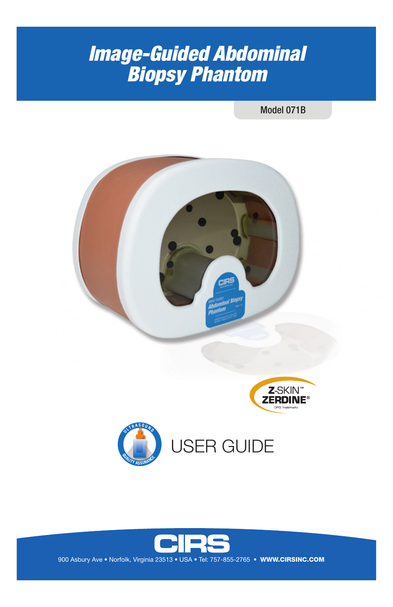# Image-Guided Abdominal *Image-Guided Abdominal*  Biopsy Phantom *Biopsy Phantom*

Model 071B









900 Asbury Ave • Norfolk, Virginia 23513 • USA • Tel: 757-855-2765 • WWW.CIRSINC.COM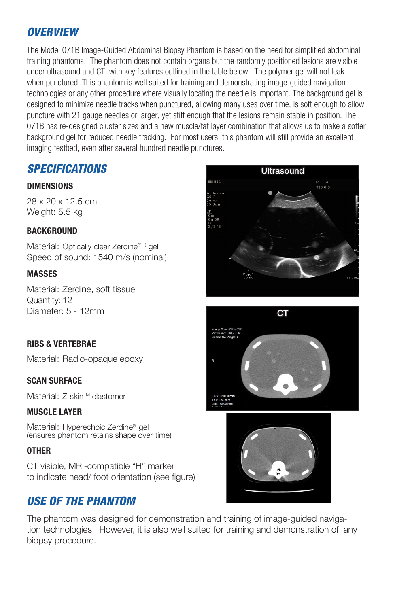### *OVERVIEW*

The Model 071B Image-Guided Abdominal Biopsy Phantom is based on the need for simplified abdominal training phantoms. The phantom does not contain organs but the randomly positioned lesions are visible under ultrasound and CT, with key features outlined in the table below. The polymer gel will not leak when punctured. This phantom is well suited for training and demonstrating image-guided navigation technologies or any other procedure where visually locating the needle is important. The background gel is designed to minimize needle tracks when punctured, allowing many uses over time, is soft enough to allow puncture with 21 gauge needles or larger, yet stiff enough that the lesions remain stable in position. The 071B has re-designed cluster sizes and a new muscle/fat layer combination that allows us to make a softer background gel for reduced needle tracking. For most users, this phantom will still provide an excellent imaging testbed, even after several hundred needle punctures.

### *SPECIFICATIONS*

#### **DIMENSIONS**

28 x 20 x 12.5 cm Weight: 5.5 kg

#### **BACKGROUND**

Material: Optically clear Zerdine®(1) gel Speed of sound: 1540 m/s (nominal)

#### **MASSES**

Material: Zerdine, soft tissue Quantity: 12 Diameter: 5 - 12mm

#### **RIBS & VERTEBRAE**

Material: Radio-opaque epoxy

#### **SCAN SURFACE**

Material: 7-skin™ elastomer

#### **MUSCLE LAYER**

Material: Hyperechoic Zerdine® gel (ensures phantom retains shape over time)

#### **OTHER**

CT visible, MRI-compatible "H" marker to indicate head/ foot orientation (see figure)

### *USE OF THE PHANTOM*

The phantom was designed for demonstration and training of image-guided navigation technologies. However, it is also well suited for training and demonstration of any biopsy procedure.





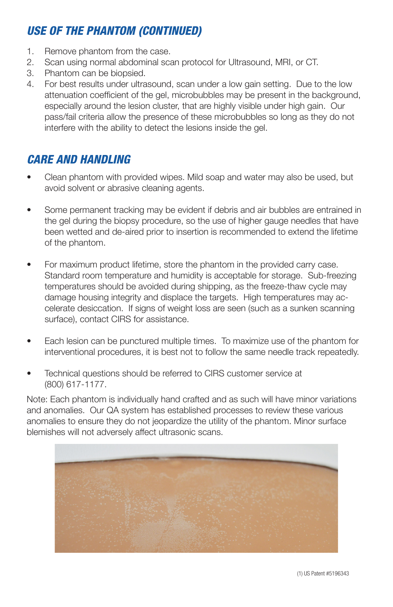## *USE OF THE PHANTOM (CONTINUED)*

- 1. Remove phantom from the case.
- 2. Scan using normal abdominal scan protocol for Ultrasound, MRI, or CT.
- 3. Phantom can be biopsied.
- 4. For best results under ultrasound, scan under a low gain setting. Due to the low attenuation coefficient of the gel, microbubbles may be present in the background, especially around the lesion cluster, that are highly visible under high gain. Our pass/fail criteria allow the presence of these microbubbles so long as they do not interfere with the ability to detect the lesions inside the gel.

### *CARE AND HANDLING*

- Clean phantom with provided wipes. Mild soap and water may also be used, but avoid solvent or abrasive cleaning agents.
- Some permanent tracking may be evident if debris and air bubbles are entrained in the gel during the biopsy procedure, so the use of higher gauge needles that have been wetted and de-aired prior to insertion is recommended to extend the lifetime of the phantom.
- For maximum product lifetime, store the phantom in the provided carry case. Standard room temperature and humidity is acceptable for storage. Sub-freezing temperatures should be avoided during shipping, as the freeze-thaw cycle may damage housing integrity and displace the targets. High temperatures may accelerate desiccation. If signs of weight loss are seen (such as a sunken scanning surface), contact CIRS for assistance.
- Each lesion can be punctured multiple times. To maximize use of the phantom for interventional procedures, it is best not to follow the same needle track repeatedly.
- Technical questions should be referred to CIRS customer service at (800) 617-1177.

Note: Each phantom is individually hand crafted and as such will have minor variations and anomalies. Our QA system has established processes to review these various anomalies to ensure they do not jeopardize the utility of the phantom. Minor surface blemishes will not adversely affect ultrasonic scans.